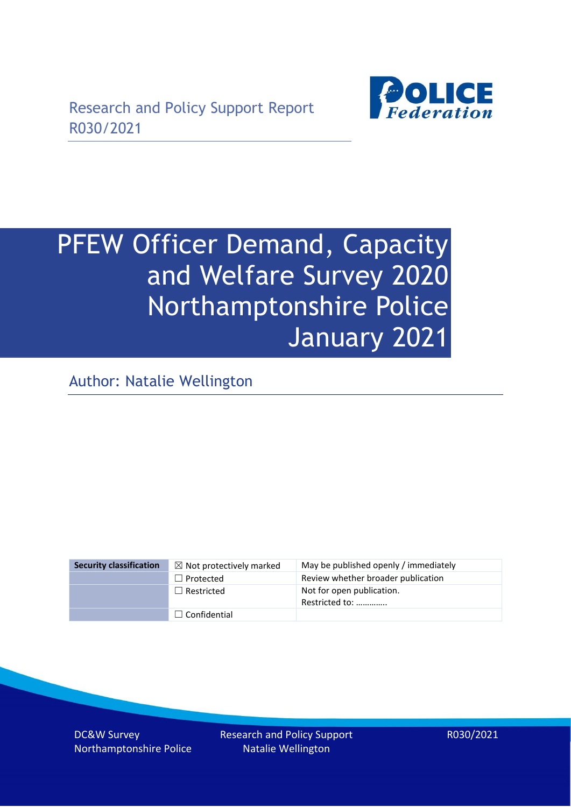

# PFEW Officer Demand, Capacity and Welfare Survey 2020 Northamptonshire Police January 2021

Author: Natalie Wellington

| <b>Security classification</b> | $\boxtimes$ Not protectively marked | May be published openly / immediately       |
|--------------------------------|-------------------------------------|---------------------------------------------|
|                                | $\Box$ Protected                    | Review whether broader publication          |
|                                | $\Box$ Restricted                   | Not for open publication.<br>Restricted to: |
|                                | $\Box$ Confidential                 |                                             |

DC&W Survey Northamptonshire Police Research and Policy Support Natalie Wellington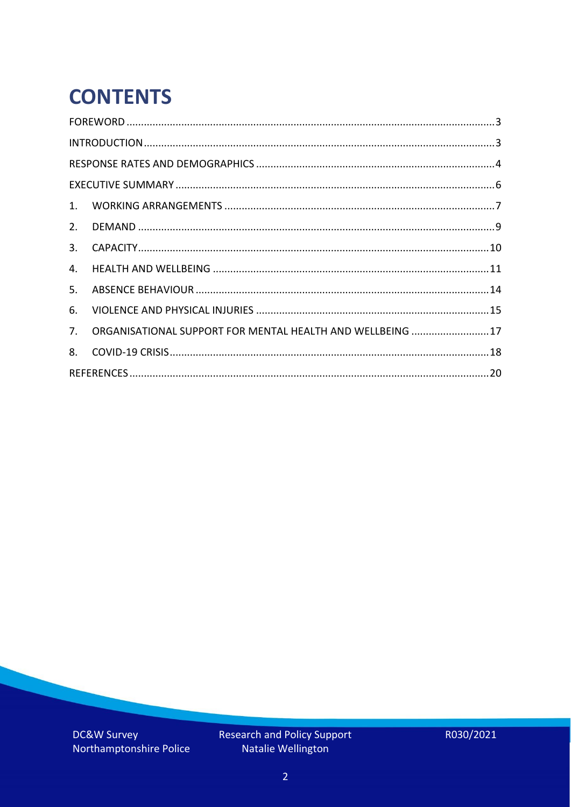# **CONTENTS**

| 4.          |                                                            |  |
|-------------|------------------------------------------------------------|--|
| 5.          |                                                            |  |
| 6.          |                                                            |  |
| $7_{\cdot}$ | ORGANISATIONAL SUPPORT FOR MENTAL HEALTH AND WELLBEING  17 |  |
| 8.          |                                                            |  |
|             |                                                            |  |

DC&W Survey Northamptonshire Police Research and Policy Support<br>Natalie Wellington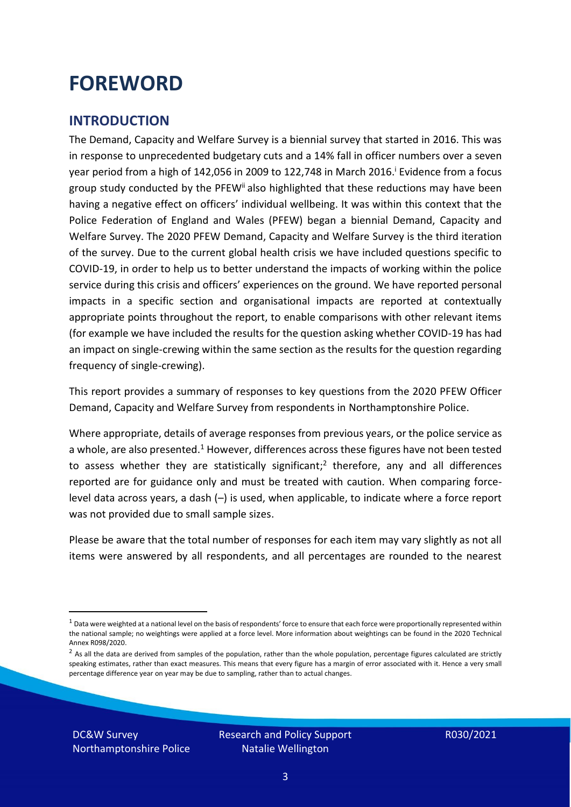### <span id="page-2-0"></span>**FOREWORD**

#### <span id="page-2-1"></span>**INTRODUCTION**

The Demand, Capacity and Welfare Survey is a biennial survey that started in 2016. This was in response to unprecedented budgetary cuts and a 14% fall in officer numbers over a seven year period from a high of 142,056 in 2009 to 122,748 in March 2016. <sup>i</sup> Evidence from a focus group study conducted by the PFEW<sup>ii</sup> also highlighted that these reductions may have been having a negative effect on officers' individual wellbeing. It was within this context that the Police Federation of England and Wales (PFEW) began a biennial Demand, Capacity and Welfare Survey. The 2020 PFEW Demand, Capacity and Welfare Survey is the third iteration of the survey. Due to the current global health crisis we have included questions specific to COVID-19, in order to help us to better understand the impacts of working within the police service during this crisis and officers' experiences on the ground. We have reported personal impacts in a specific section and organisational impacts are reported at contextually appropriate points throughout the report, to enable comparisons with other relevant items (for example we have included the results for the question asking whether COVID-19 has had an impact on single-crewing within the same section as the results for the question regarding frequency of single-crewing).

This report provides a summary of responses to key questions from the 2020 PFEW Officer Demand, Capacity and Welfare Survey from respondents in Northamptonshire Police.

Where appropriate, details of average responses from previous years, or the police service as a whole, are also presented.<sup>1</sup> However, differences across these figures have not been tested to assess whether they are statistically significant;<sup>2</sup> therefore, any and all differences reported are for guidance only and must be treated with caution. When comparing forcelevel data across years, a dash (–) is used, when applicable, to indicate where a force report was not provided due to small sample sizes.

Please be aware that the total number of responses for each item may vary slightly as not all items were answered by all respondents, and all percentages are rounded to the nearest

DC&W Survey Northamptonshire Police

 $1$  Data were weighted at a national level on the basis of respondents' force to ensure that each force were proportionally represented within the national sample; no weightings were applied at a force level. More information about weightings can be found in the 2020 Technical Annex R098/2020.

 $2$  As all the data are derived from samples of the population, rather than the whole population, percentage figures calculated are strictly speaking estimates, rather than exact measures. This means that every figure has a margin of error associated with it. Hence a very small percentage difference year on year may be due to sampling, rather than to actual changes.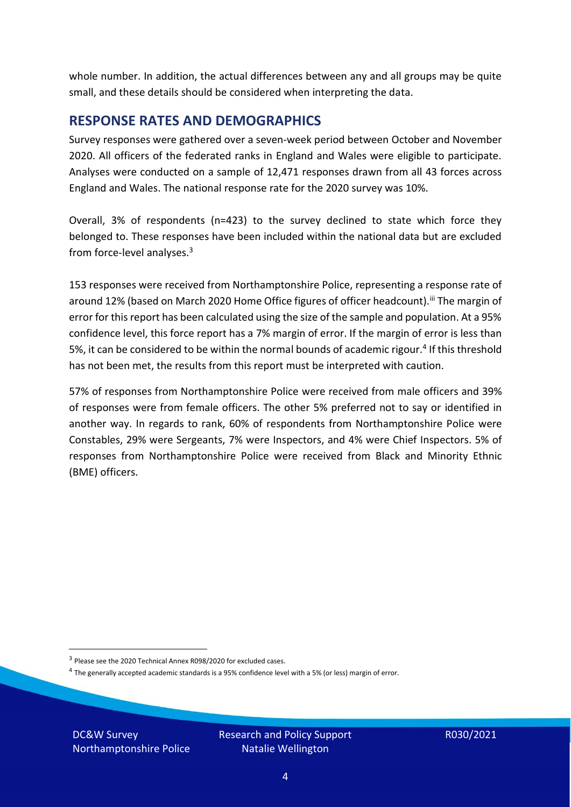whole number. In addition, the actual differences between any and all groups may be quite small, and these details should be considered when interpreting the data.

#### <span id="page-3-0"></span>**RESPONSE RATES AND DEMOGRAPHICS**

Survey responses were gathered over a seven-week period between October and November 2020. All officers of the federated ranks in England and Wales were eligible to participate. Analyses were conducted on a sample of 12,471 responses drawn from all 43 forces across England and Wales. The national response rate for the 2020 survey was 10%.

Overall, 3% of respondents (n=423) to the survey declined to state which force they belonged to. These responses have been included within the national data but are excluded from force-level analyses.<sup>3</sup>

153 responses were received from Northamptonshire Police, representing a response rate of around 12% (based on March 2020 Home Office figures of officer headcount).<sup>iii</sup> The margin of error for this report has been calculated using the size of the sample and population. At a 95% confidence level, this force report has a 7% margin of error. If the margin of error is less than 5%, it can be considered to be within the normal bounds of academic rigour.<sup>4</sup> If this threshold has not been met, the results from this report must be interpreted with caution.

57% of responses from Northamptonshire Police were received from male officers and 39% of responses were from female officers. The other 5% preferred not to say or identified in another way. In regards to rank, 60% of respondents from Northamptonshire Police were Constables, 29% were Sergeants, 7% were Inspectors, and 4% were Chief Inspectors. 5% of responses from Northamptonshire Police were received from Black and Minority Ethnic (BME) officers.

DC&W Survey Northamptonshire Police

<sup>&</sup>lt;sup>3</sup> Please see the 2020 Technical Annex R098/2020 for excluded cases.

<sup>&</sup>lt;sup>4</sup> The generally accepted academic standards is a 95% confidence level with a 5% (or less) margin of error.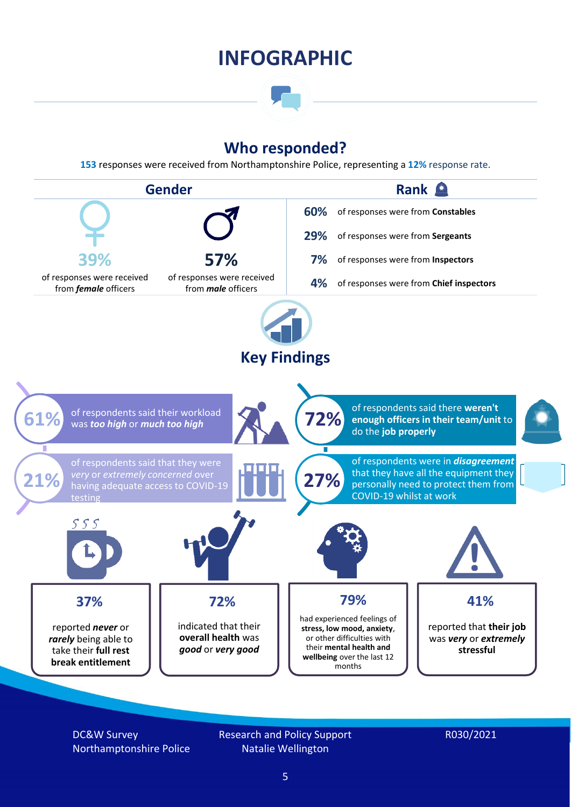### **INFOGRAPHIC**

### **Who responded?**

**153** responses were received from Northamptonshire Police, representing a **12%** response rate.



DC&W Survey Northamptonshire Police Research and Policy Support Natalie Wellington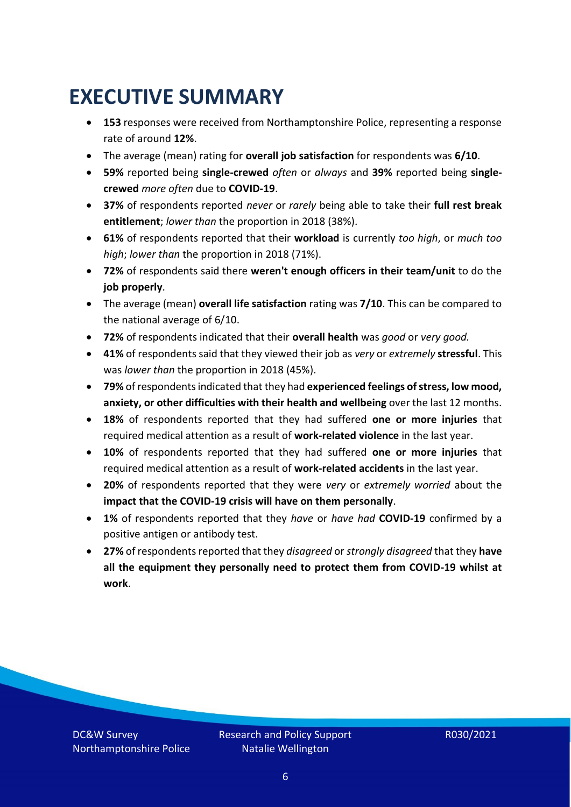### <span id="page-5-0"></span>**EXECUTIVE SUMMARY**

- **153** responses were received from Northamptonshire Police, representing a response rate of around **12%**.
- The average (mean) rating for **overall job satisfaction** for respondents was **6/10**.
- **59%** reported being **single-crewed** *often* or *always* and **39%** reported being **singlecrewed** *more often* due to **COVID-19**.
- **37%** of respondents reported *never* or *rarely* being able to take their **full rest break entitlement**; *lower than* the proportion in 2018 (38%).
- **61%** of respondents reported that their **workload** is currently *too high*, or *much too high*; *lower than* the proportion in 2018 (71%).
- **72%** of respondents said there **weren't enough officers in their team/unit** to do the **job properly**.
- The average (mean) **overall life satisfaction** rating was **7/10**. This can be compared to the national average of 6/10.
- **72%** of respondents indicated that their **overall health** was *good* or *very good.*
- **41%** of respondents said that they viewed their job as *very* or *extremely* **stressful**. This was *lower than* the proportion in 2018 (45%).
- **79%** of respondents indicated that they had **experienced feelings of stress, low mood, anxiety, or other difficulties with their health and wellbeing** over the last 12 months.
- **18%** of respondents reported that they had suffered **one or more injuries** that required medical attention as a result of **work-related violence** in the last year.
- **10%** of respondents reported that they had suffered **one or more injuries** that required medical attention as a result of **work-related accidents** in the last year.
- **20%** of respondents reported that they were *very* or *extremely worried* about the **impact that the COVID-19 crisis will have on them personally**.
- **1%** of respondents reported that they *have* or *have had* **COVID-19** confirmed by a positive antigen or antibody test.
- **27%** of respondents reported that they *disagreed* or *strongly disagreed* that they **have all the equipment they personally need to protect them from COVID-19 whilst at work**.

DC&W Survey Northamptonshire Police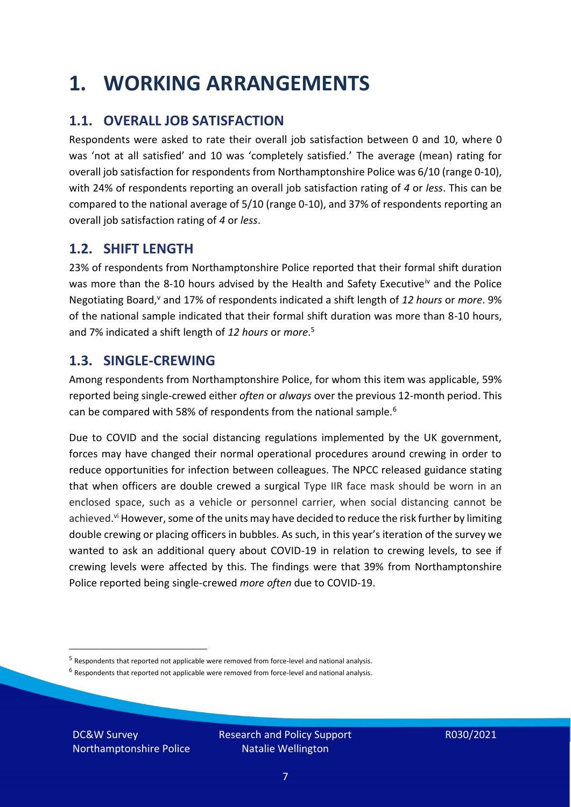### <span id="page-6-0"></span>**1. WORKING ARRANGEMENTS**

### **1.1. OVERALL JOB SATISFACTION**

Respondents were asked to rate their overall job satisfaction between 0 and 10, where 0 was 'not at all satisfied' and 10 was 'completely satisfied.' The average (mean) rating for overall job satisfaction for respondents from Northamptonshire Police was 6/10 (range 0-10), with 24% of respondents reporting an overall job satisfaction rating of *4* or *less*. This can be compared to the national average of 5/10 (range 0-10), and 37% of respondents reporting an overall job satisfaction rating of *4* or *less*.

### **1.2. SHIFT LENGTH**

23% of respondents from Northamptonshire Police reported that their formal shift duration was more than the 8-10 hours advised by the Health and Safety Executive<sup>iv</sup> and the Police Negotiating Board,<sup>v</sup> and 17% of respondents indicated a shift length of *12 hours* or *more*. 9% of the national sample indicated that their formal shift duration was more than 8-10 hours, and 7% indicated a shift length of *12 hours* or *more*. 5

### **1.3. SINGLE-CREWING**

Among respondents from Northamptonshire Police, for whom this item was applicable, 59% reported being single-crewed either *often* or *always* over the previous 12-month period. This can be compared with 58% of respondents from the national sample.<sup>6</sup>

Due to COVID and the social distancing regulations implemented by the UK government, forces may have changed their normal operational procedures around crewing in order to reduce opportunities for infection between colleagues. The NPCC released guidance stating that when officers are double crewed a surgical Type IIR face mask should be worn in an enclosed space, such as a vehicle or personnel carrier, when social distancing cannot be achieved.<sup>vi</sup> However, some of the units may have decided to reduce the risk further by limiting double crewing or placing officers in bubbles. As such, in this year's iteration of the survey we wanted to ask an additional query about COVID-19 in relation to crewing levels, to see if crewing levels were affected by this. The findings were that 39% from Northamptonshire Police reported being single-crewed *more often* due to COVID-19.

 $<sup>6</sup>$  Respondents that reported not applicable were removed from force-level and national analysis.</sup>

DC&W Survey Northamptonshire Police

<sup>&</sup>lt;sup>5</sup> Respondents that reported not applicable were removed from force-level and national analysis.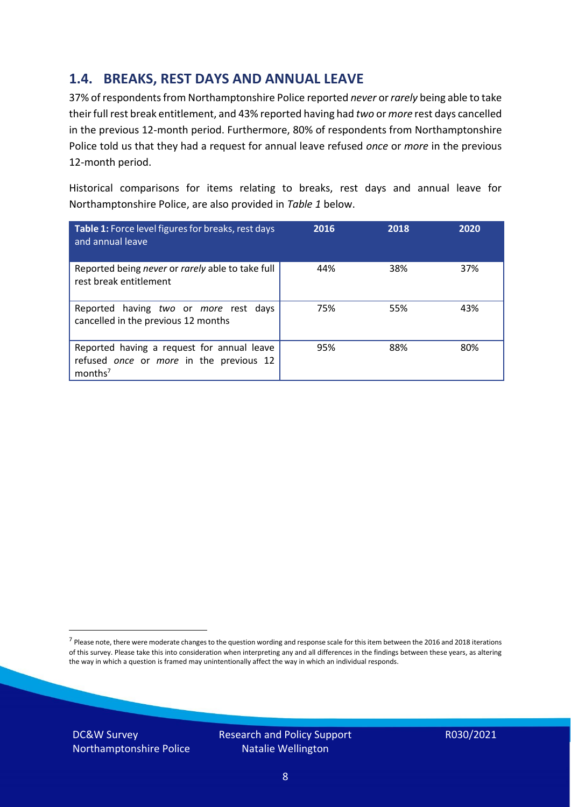### **1.4. BREAKS, REST DAYS AND ANNUAL LEAVE**

37% of respondents from Northamptonshire Police reported *never* or *rarely* being able to take their full rest break entitlement, and 43% reported having had *two* or *more* rest days cancelled in the previous 12-month period. Furthermore, 80% of respondents from Northamptonshire Police told us that they had a request for annual leave refused *once* or *more* in the previous 12-month period.

Historical comparisons for items relating to breaks, rest days and annual leave for Northamptonshire Police, are also provided in *Table 1* below.

| Table 1: Force level figures for breaks, rest days<br>and annual leave                                       | 2016 | 2018 | 2020 |
|--------------------------------------------------------------------------------------------------------------|------|------|------|
| Reported being never or rarely able to take full<br>rest break entitlement                                   | 44%  | 38%  | 37%  |
| Reported having two or more rest days<br>cancelled in the previous 12 months                                 | 75%  | 55%  | 43%  |
| Reported having a request for annual leave<br>refused once or more in the previous 12<br>months <sup>7</sup> | 95%  | 88%  | 80%  |

DC&W Survey Northamptonshire Police



<sup>&</sup>lt;sup>7</sup> Please note, there were moderate changes to the question wording and response scale for this item between the 2016 and 2018 iterations of this survey. Please take this into consideration when interpreting any and all differences in the findings between these years, as altering the way in which a question is framed may unintentionally affect the way in which an individual responds.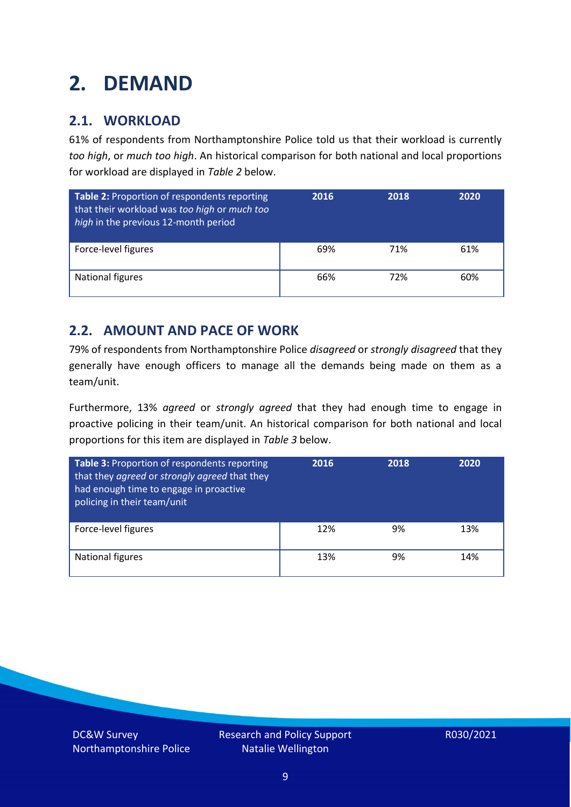### <span id="page-8-0"></span>**2. DEMAND**

### **2.1. WORKLOAD**

61% of respondents from Northamptonshire Police told us that their workload is currently *too high*, or *much too high*. An historical comparison for both national and local proportions for workload are displayed in *Table 2* below.

| Table 2: Proportion of respondents reporting<br>that their workload was too high or much too<br>high in the previous 12-month period | 2016 | 2018 | 2020 |
|--------------------------------------------------------------------------------------------------------------------------------------|------|------|------|
| Force-level figures                                                                                                                  | 69%  | 71%  | 61%  |
| <b>National figures</b>                                                                                                              | 66%  | 72%  | 60%  |

### **2.2. AMOUNT AND PACE OF WORK**

79% of respondents from Northamptonshire Police *disagreed* or *strongly disagreed* that they generally have enough officers to manage all the demands being made on them as a team/unit.

Furthermore, 13% *agreed* or *strongly agreed* that they had enough time to engage in proactive policing in their team/unit. An historical comparison for both national and local proportions for this item are displayed in *Table 3* below.

| Table 3: Proportion of respondents reporting<br>that they agreed or strongly agreed that they<br>had enough time to engage in proactive<br>policing in their team/unit | 2016 | 2018 | 2020 |
|------------------------------------------------------------------------------------------------------------------------------------------------------------------------|------|------|------|
| Force-level figures                                                                                                                                                    | 12%  | 9%   | 13%  |
| National figures                                                                                                                                                       | 13%  | 9%   | 14%  |

DC&W Survey Northamptonshire Police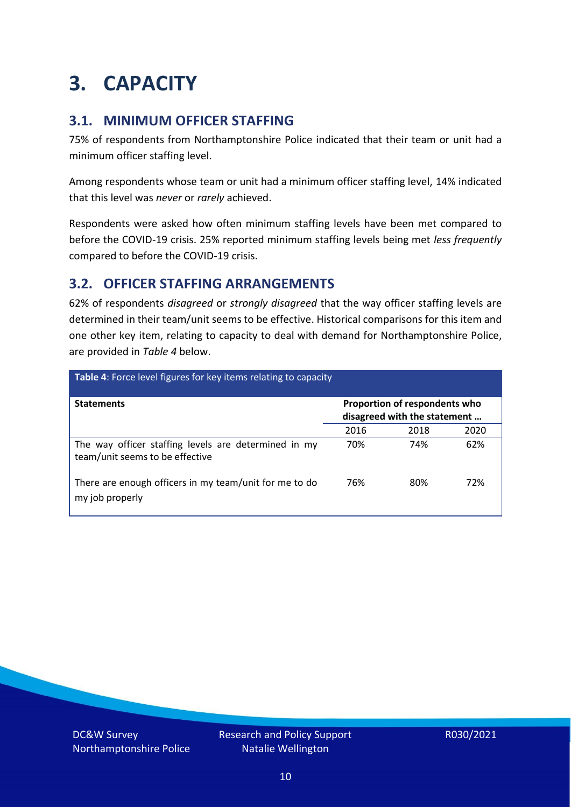### <span id="page-9-0"></span>**3. CAPACITY**

### **3.1. MINIMUM OFFICER STAFFING**

75% of respondents from Northamptonshire Police indicated that their team or unit had a minimum officer staffing level.

Among respondents whose team or unit had a minimum officer staffing level, 14% indicated that this level was *never* or *rarely* achieved.

Respondents were asked how often minimum staffing levels have been met compared to before the COVID-19 crisis. 25% reported minimum staffing levels being met *less frequently* compared to before the COVID-19 crisis.

### **3.2. OFFICER STAFFING ARRANGEMENTS**

62% of respondents *disagreed* or *strongly disagreed* that the way officer staffing levels are determined in their team/unit seems to be effective. Historical comparisons for this item and one other key item, relating to capacity to deal with demand for Northamptonshire Police, are provided in *Table 4* below.

| Table 4: Force level figures for key items relating to capacity                         |                                                               |      |      |
|-----------------------------------------------------------------------------------------|---------------------------------------------------------------|------|------|
| <b>Statements</b>                                                                       | Proportion of respondents who<br>disagreed with the statement |      |      |
|                                                                                         | 2016                                                          | 2018 | 2020 |
| The way officer staffing levels are determined in my<br>team/unit seems to be effective | 70%                                                           | 74%  | 62%  |
| There are enough officers in my team/unit for me to do<br>my job properly               | 76%                                                           | 80%  | 72%  |

DC&W Survey Northamptonshire Police Research and Policy Support Natalie Wellington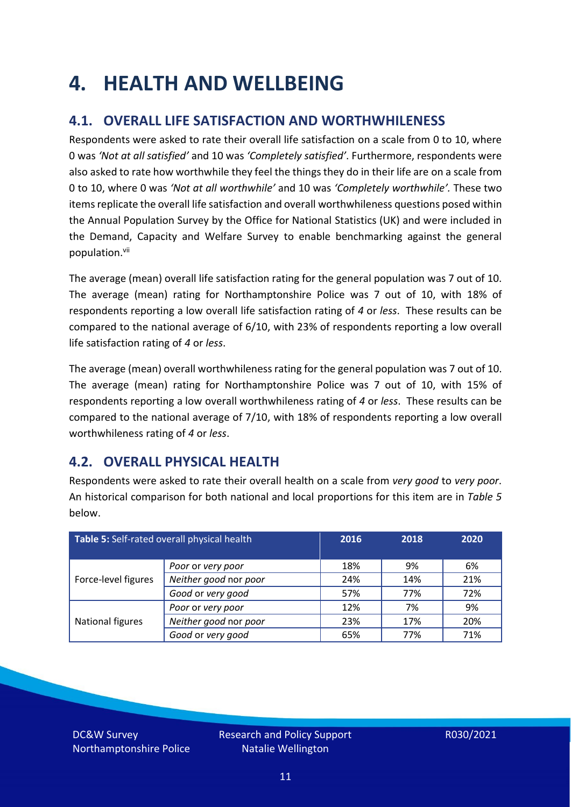### <span id="page-10-0"></span>**4. HEALTH AND WELLBEING**

### **4.1. OVERALL LIFE SATISFACTION AND WORTHWHILENESS**

Respondents were asked to rate their overall life satisfaction on a scale from 0 to 10, where 0 was *'Not at all satisfied'* and 10 was *'Completely satisfied'*. Furthermore, respondents were also asked to rate how worthwhile they feel the things they do in their life are on a scale from 0 to 10, where 0 was *'Not at all worthwhile'* and 10 was *'Completely worthwhile'.* These two items replicate the overall life satisfaction and overall worthwhileness questions posed within the Annual Population Survey by the Office for National Statistics (UK) and were included in the Demand, Capacity and Welfare Survey to enable benchmarking against the general population. vii

The average (mean) overall life satisfaction rating for the general population was 7 out of 10. The average (mean) rating for Northamptonshire Police was 7 out of 10, with 18% of respondents reporting a low overall life satisfaction rating of *4* or *less*. These results can be compared to the national average of 6/10, with 23% of respondents reporting a low overall life satisfaction rating of *4* or *less*.

The average (mean) overall worthwhileness rating for the general population was 7 out of 10. The average (mean) rating for Northamptonshire Police was 7 out of 10, with 15% of respondents reporting a low overall worthwhileness rating of *4* or *less*. These results can be compared to the national average of 7/10, with 18% of respondents reporting a low overall worthwhileness rating of *4* or *less*.

### **4.2. OVERALL PHYSICAL HEALTH**

Respondents were asked to rate their overall health on a scale from *very good* to *very poor*. An historical comparison for both national and local proportions for this item are in *Table 5* below.

| Table 5: Self-rated overall physical health |                       | 2016 | 2018 | 2020 |
|---------------------------------------------|-----------------------|------|------|------|
|                                             | Poor or very poor     | 18%  | 9%   | 6%   |
| Force-level figures                         | Neither good nor poor | 24%  | 14%  | 21%  |
|                                             | Good or very good     | 57%  | 77%  | 72%  |
|                                             | Poor or very poor     | 12%  | 7%   | 9%   |
| National figures                            | Neither good nor poor | 23%  | 17%  | 20%  |
|                                             | Good or very good     | 65%  | 77%  | 71%  |

DC&W Survey Northamptonshire Police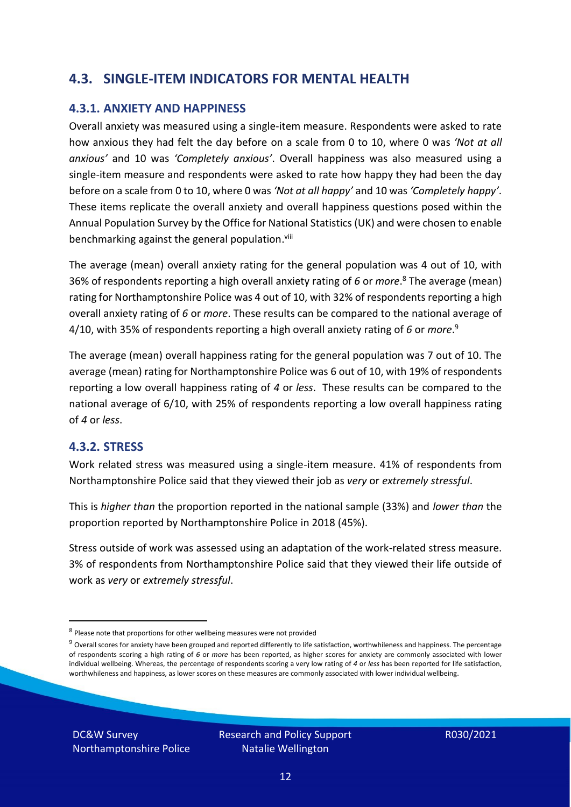### **4.3. SINGLE-ITEM INDICATORS FOR MENTAL HEALTH**

#### **4.3.1. ANXIETY AND HAPPINESS**

Overall anxiety was measured using a single-item measure. Respondents were asked to rate how anxious they had felt the day before on a scale from 0 to 10, where 0 was *'Not at all anxious'* and 10 was *'Completely anxious'*. Overall happiness was also measured using a single-item measure and respondents were asked to rate how happy they had been the day before on a scale from 0 to 10, where 0 was *'Not at all happy'* and 10 was *'Completely happy'*. These items replicate the overall anxiety and overall happiness questions posed within the Annual Population Survey by the Office for National Statistics (UK) and were chosen to enable benchmarking against the general population.<sup>viii</sup>

The average (mean) overall anxiety rating for the general population was 4 out of 10, with 36% of respondents reporting a high overall anxiety rating of *6* or *more*. <sup>8</sup> The average (mean) rating for Northamptonshire Police was 4 out of 10, with 32% of respondents reporting a high overall anxiety rating of *6* or *more*. These results can be compared to the national average of 4/10, with 35% of respondents reporting a high overall anxiety rating of *6* or *more*. 9

The average (mean) overall happiness rating for the general population was 7 out of 10. The average (mean) rating for Northamptonshire Police was 6 out of 10, with 19% of respondents reporting a low overall happiness rating of *4* or *less*. These results can be compared to the national average of 6/10, with 25% of respondents reporting a low overall happiness rating of *4* or *less*.

#### **4.3.2. STRESS**

Work related stress was measured using a single-item measure. 41% of respondents from Northamptonshire Police said that they viewed their job as *very* or *extremely stressful*.

This is *higher than* the proportion reported in the national sample (33%) and *lower than* the proportion reported by Northamptonshire Police in 2018 (45%).

Stress outside of work was assessed using an adaptation of the work-related stress measure. 3% of respondents from Northamptonshire Police said that they viewed their life outside of work as *very* or *extremely stressful*.

DC&W Survey Northamptonshire Police

<sup>&</sup>lt;sup>8</sup> Please note that proportions for other wellbeing measures were not provided

 $9$  Overall scores for anxiety have been grouped and reported differently to life satisfaction, worthwhileness and happiness. The percentage of respondents scoring a high rating of *6* or *more* has been reported, as higher scores for anxiety are commonly associated with lower individual wellbeing. Whereas, the percentage of respondents scoring a very low rating of *4* or *less* has been reported for life satisfaction, worthwhileness and happiness, as lower scores on these measures are commonly associated with lower individual wellbeing.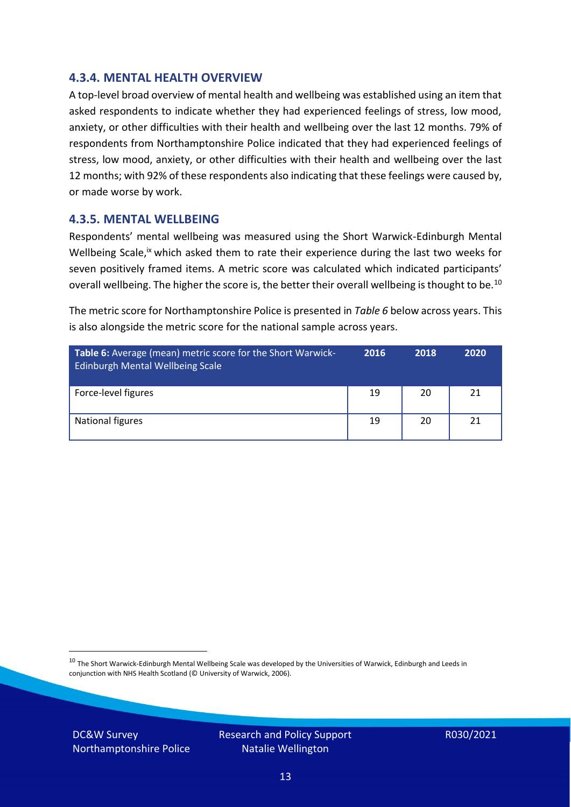#### **4.3.4. MENTAL HEALTH OVERVIEW**

A top-level broad overview of mental health and wellbeing was established using an item that asked respondents to indicate whether they had experienced feelings of stress, low mood, anxiety, or other difficulties with their health and wellbeing over the last 12 months. 79% of respondents from Northamptonshire Police indicated that they had experienced feelings of stress, low mood, anxiety, or other difficulties with their health and wellbeing over the last 12 months; with 92% of these respondents also indicating that these feelings were caused by, or made worse by work.

#### **4.3.5. MENTAL WELLBEING**

Respondents' mental wellbeing was measured using the Short Warwick-Edinburgh Mental Wellbeing Scale,<sup>ix</sup> which asked them to rate their experience during the last two weeks for seven positively framed items. A metric score was calculated which indicated participants' overall wellbeing. The higher the score is, the better their overall wellbeing is thought to be.<sup>10</sup>

The metric score for Northamptonshire Police is presented in *Table 6* below across years. This is also alongside the metric score for the national sample across years.

| <b>Table 6:</b> Average (mean) metric score for the Short Warwick-<br><b>Edinburgh Mental Wellbeing Scale</b> | 2016 | 2018 | 2020 |
|---------------------------------------------------------------------------------------------------------------|------|------|------|
| Force-level figures                                                                                           | 19   | 20   | 21   |
| National figures                                                                                              | 19   | 20   | 21   |

 $10$  The Short Warwick-Edinburgh Mental Wellbeing Scale was developed by the Universities of Warwick, Edinburgh and Leeds in conjunction with NHS Health Scotland (© University of Warwick, 2006).

DC&W Survey Northamptonshire Police Research and Policy Support Natalie Wellington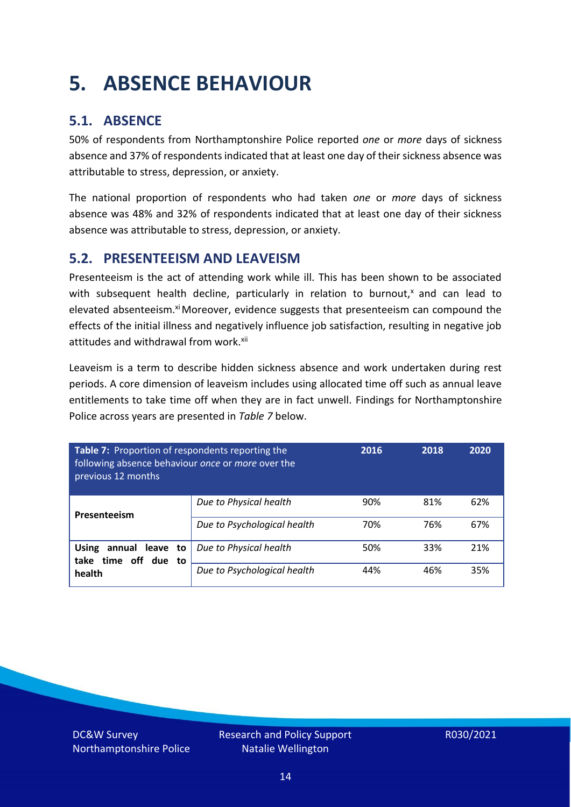### <span id="page-13-0"></span>**5. ABSENCE BEHAVIOUR**

### **5.1. ABSENCE**

50% of respondents from Northamptonshire Police reported *one* or *more* days of sickness absence and 37% of respondents indicated that at least one day of their sickness absence was attributable to stress, depression, or anxiety.

The national proportion of respondents who had taken *one* or *more* days of sickness absence was 48% and 32% of respondents indicated that at least one day of their sickness absence was attributable to stress, depression, or anxiety.

### **5.2. PRESENTEEISM AND LEAVEISM**

Presenteeism is the act of attending work while ill. This has been shown to be associated with subsequent health decline, particularly in relation to burnout, $x$  and can lead to elevated absenteeism.<sup>xi</sup> Moreover, evidence suggests that presenteeism can compound the effects of the initial illness and negatively influence job satisfaction, resulting in negative job attitudes and withdrawal from work.<sup>xii</sup>

Leaveism is a term to describe hidden sickness absence and work undertaken during rest periods. A core dimension of leaveism includes using allocated time off such as annual leave entitlements to take time off when they are in fact unwell. Findings for Northamptonshire Police across years are presented in *Table 7* below.

| Table 7: Proportion of respondents reporting the<br>following absence behaviour once or more over the<br>previous 12 months |                             | 2016 | 2018 | 2020 |
|-----------------------------------------------------------------------------------------------------------------------------|-----------------------------|------|------|------|
| Presenteeism                                                                                                                | Due to Physical health      | 90%  | 81%  | 62%  |
|                                                                                                                             | Due to Psychological health | 70%  | 76%  | 67%  |
| <b>Using</b><br>annual leave to<br>time off due to<br>take                                                                  | Due to Physical health      | 50%  | 33%  | 21%  |
| health                                                                                                                      | Due to Psychological health | 44%  | 46%  | 35%  |

DC&W Survey Northamptonshire Police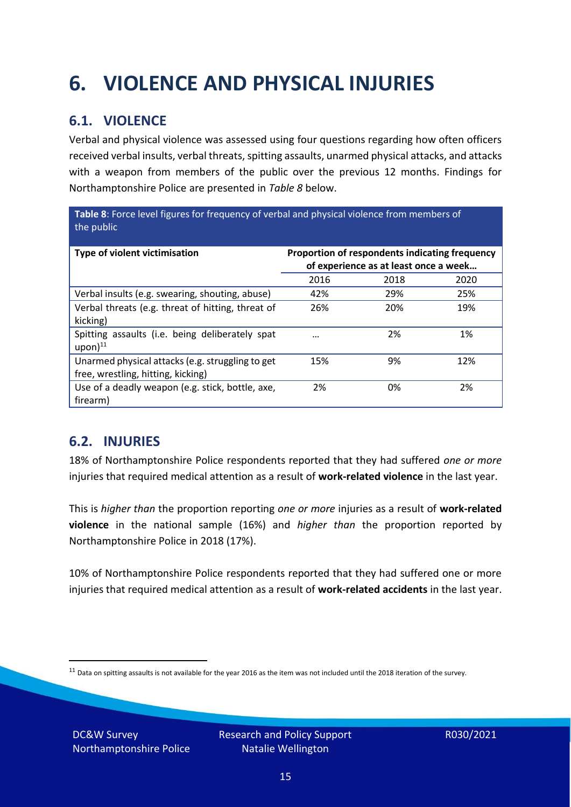## <span id="page-14-0"></span>**6. VIOLENCE AND PHYSICAL INJURIES**

### **6.1. VIOLENCE**

Verbal and physical violence was assessed using four questions regarding how often officers received verbal insults, verbal threats, spitting assaults, unarmed physical attacks, and attacks with a weapon from members of the public over the previous 12 months. Findings for Northamptonshire Police are presented in *Table 8* below.

**Table 8**: Force level figures for frequency of verbal and physical violence from members of the public

| Type of violent victimisation                                                          | Proportion of respondents indicating frequency<br>of experience as at least once a week |      |      |
|----------------------------------------------------------------------------------------|-----------------------------------------------------------------------------------------|------|------|
|                                                                                        | 2016                                                                                    | 2018 | 2020 |
| Verbal insults (e.g. swearing, shouting, abuse)                                        | 42%                                                                                     | 29%  | 25%  |
| Verbal threats (e.g. threat of hitting, threat of<br>kicking)                          | 26%                                                                                     | 20%  | 19%  |
| Spitting assaults (i.e. being deliberately spat<br>$upon)$ <sup>11</sup>               |                                                                                         | 2%   | 1%   |
| Unarmed physical attacks (e.g. struggling to get<br>free, wrestling, hitting, kicking) | 15%                                                                                     | 9%   | 12%  |
| Use of a deadly weapon (e.g. stick, bottle, axe,<br>firearm)                           | 2%                                                                                      | 0%   | 2%   |

### **6.2. INJURIES**

18% of Northamptonshire Police respondents reported that they had suffered *one or more* injuries that required medical attention as a result of **work-related violence** in the last year.

This is *higher than* the proportion reporting *one or more* injuries as a result of **work-related violence** in the national sample (16%) and *higher than* the proportion reported by Northamptonshire Police in 2018 (17%).

10% of Northamptonshire Police respondents reported that they had suffered one or more injuries that required medical attention as a result of **work-related accidents** in the last year.

DC&W Survey Northamptonshire Police

 $11$  Data on spitting assaults is not available for the year 2016 as the item was not included until the 2018 iteration of the survey.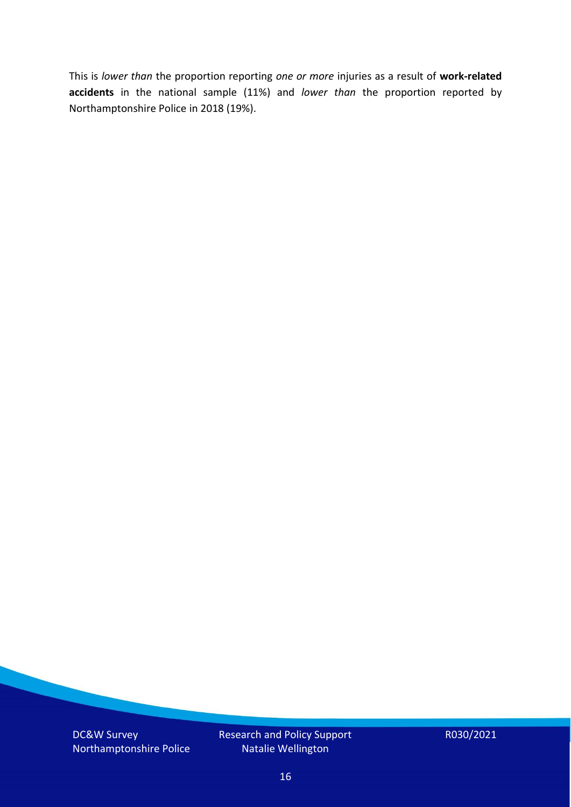This is *lower than* the proportion reporting *one or more* injuries as a result of **work-related accidents** in the national sample (11%) and *lower than* the proportion reported by Northamptonshire Police in 2018 (19%).

DC&W Survey Northamptonshire Police Research and Policy Support Natalie Wellington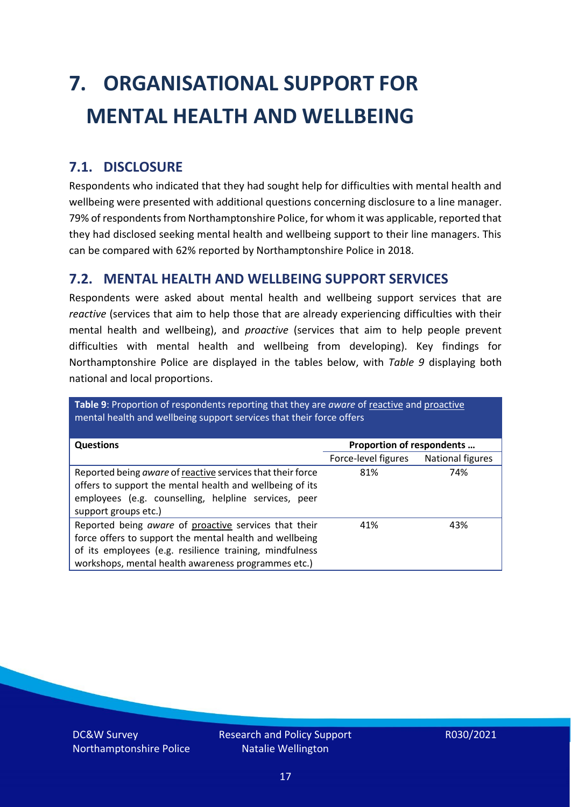# <span id="page-16-0"></span>**7. ORGANISATIONAL SUPPORT FOR MENTAL HEALTH AND WELLBEING**

### **7.1. DISCLOSURE**

Respondents who indicated that they had sought help for difficulties with mental health and wellbeing were presented with additional questions concerning disclosure to a line manager. 79% of respondents from Northamptonshire Police, for whom it was applicable, reported that they had disclosed seeking mental health and wellbeing support to their line managers. This can be compared with 62% reported by Northamptonshire Police in 2018.

#### **7.2. MENTAL HEALTH AND WELLBEING SUPPORT SERVICES**

Respondents were asked about mental health and wellbeing support services that are *reactive* (services that aim to help those that are already experiencing difficulties with their mental health and wellbeing), and *proactive* (services that aim to help people prevent difficulties with mental health and wellbeing from developing). Key findings for Northamptonshire Police are displayed in the tables below, with *Table 9* displaying both national and local proportions.

**Table 9**: Proportion of respondents reporting that they are *aware* of reactive and proactive mental health and wellbeing support services that their force offers

| <b>Questions</b>                                                                                                                                                                                                                   | Proportion of respondents |                  |
|------------------------------------------------------------------------------------------------------------------------------------------------------------------------------------------------------------------------------------|---------------------------|------------------|
|                                                                                                                                                                                                                                    | Force-level figures       | National figures |
| Reported being aware of reactive services that their force<br>offers to support the mental health and wellbeing of its<br>employees (e.g. counselling, helpline services, peer<br>support groups etc.)                             | 81%                       | 74%              |
| Reported being aware of proactive services that their<br>force offers to support the mental health and wellbeing<br>of its employees (e.g. resilience training, mindfulness<br>workshops, mental health awareness programmes etc.) | 41%                       | 43%              |

DC&W Survey Northamptonshire Police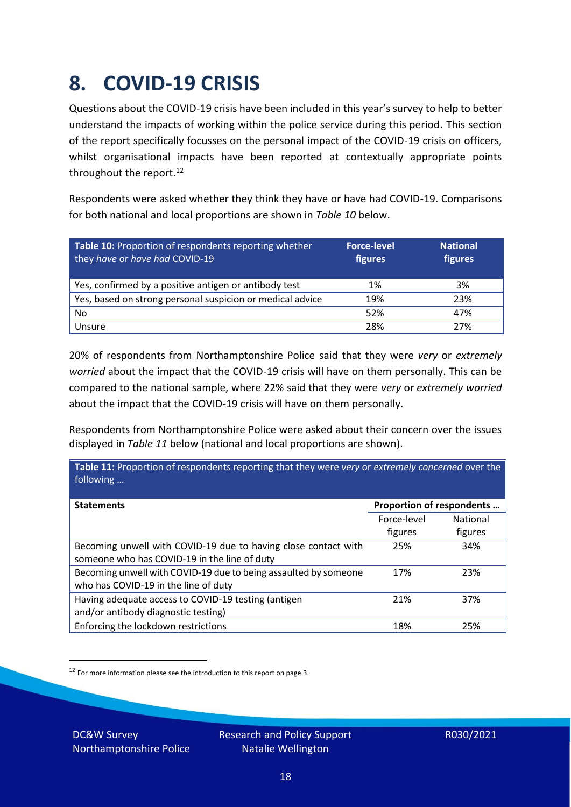### <span id="page-17-0"></span>**8. COVID-19 CRISIS**

Questions about the COVID-19 crisis have been included in this year's survey to help to better understand the impacts of working within the police service during this period. This section of the report specifically focusses on the personal impact of the COVID-19 crisis on officers, whilst organisational impacts have been reported at contextually appropriate points throughout the report.<sup>12</sup>

Respondents were asked whether they think they have or have had COVID-19. Comparisons for both national and local proportions are shown in *Table 10* below.

| Table 10: Proportion of respondents reporting whether<br>they have or have had COVID-19 | <b>Force-level</b><br>figures | <b>National</b><br>figures |
|-----------------------------------------------------------------------------------------|-------------------------------|----------------------------|
| Yes, confirmed by a positive antigen or antibody test                                   | 1%                            | 3%                         |
| Yes, based on strong personal suspicion or medical advice                               | 19%                           | 23%                        |
| No                                                                                      | 52%                           | 47%                        |
| Unsure                                                                                  | 28%                           | 27%                        |

20% of respondents from Northamptonshire Police said that they were *very* or *extremely worried* about the impact that the COVID-19 crisis will have on them personally. This can be compared to the national sample, where 22% said that they were *very* or *extremely worried* about the impact that the COVID-19 crisis will have on them personally.

Respondents from Northamptonshire Police were asked about their concern over the issues displayed in *Table 11* below (national and local proportions are shown).

| Table 11: Proportion of respondents reporting that they were very or extremely concerned over the<br>following |                           |                 |
|----------------------------------------------------------------------------------------------------------------|---------------------------|-----------------|
| <b>Statements</b>                                                                                              | Proportion of respondents |                 |
|                                                                                                                | Force-level               | <b>National</b> |
|                                                                                                                | figures                   | figures         |
| Becoming unwell with COVID-19 due to having close contact with                                                 | 25%                       | 34%             |
| someone who has COVID-19 in the line of duty                                                                   |                           |                 |
| Becoming unwell with COVID-19 due to being assaulted by someone                                                | 17%                       | 23%             |
| who has COVID-19 in the line of duty                                                                           |                           |                 |
| Having adequate access to COVID-19 testing (antigen                                                            | 21%                       | 37%             |
| and/or antibody diagnostic testing)                                                                            |                           |                 |
| Enforcing the lockdown restrictions                                                                            | 18%                       | 25%             |

<sup>12</sup> For more information please see the introduction to this report on page 3.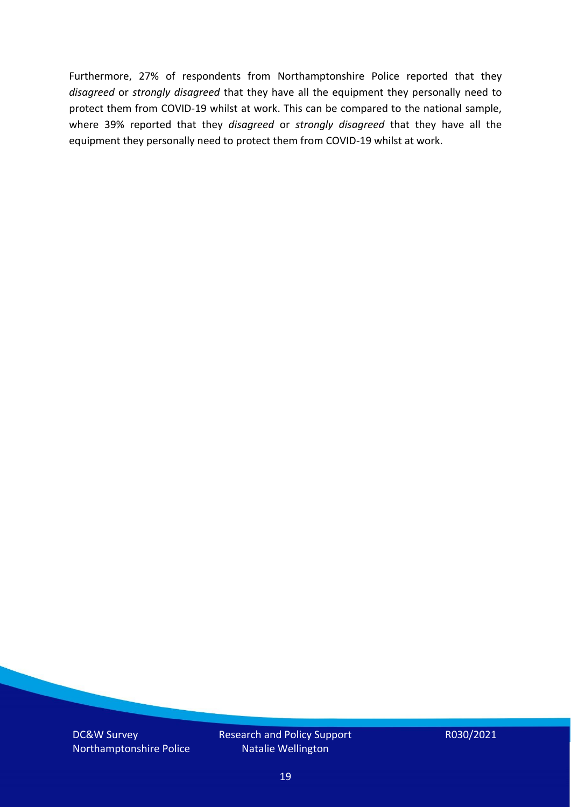Furthermore, 27% of respondents from Northamptonshire Police reported that they *disagreed* or *strongly disagreed* that they have all the equipment they personally need to protect them from COVID-19 whilst at work. This can be compared to the national sample, where 39% reported that they *disagreed* or *strongly disagreed* that they have all the equipment they personally need to protect them from COVID-19 whilst at work.

DC&W Survey Northamptonshire Police Research and Policy Support Natalie Wellington